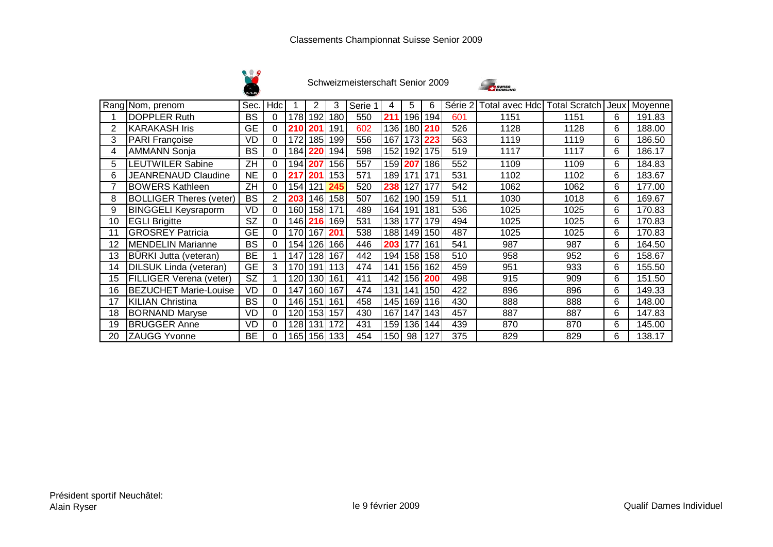



|    | Rang Nom, prenom               | Sec.      | Hdc |       | 2    | 3       | Serie | 4                | 5         | 6    | Série 2 | Total avec Hdc | <b>Total Scratch Jeux</b> |   | Moyenne |
|----|--------------------------------|-----------|-----|-------|------|---------|-------|------------------|-----------|------|---------|----------------|---------------------------|---|---------|
|    | <b>DOPPLER Ruth</b>            | <b>BS</b> | 0   | 178   | 192  | 180     | 550   | 211              | 196       | 194  | 601     | 1151           | 1151                      | 6 | 191.83  |
|    | <b>KARAKASH Iris</b>           | <b>GE</b> | 0   | 210   | 201  | 191     | 602   | 136              | 180       | 210  | 526     | 1128           | 1128                      | 6 | 188.00  |
| 3  | <b>PARI Françoise</b>          | VD        | 0   | 172   | 185  | 199     | 556   | 167              | 173       | 223  | 563     | 1119           | 1119                      | 6 | 186.50  |
| 4  | <b>AMMANN Sonja</b>            | <b>BS</b> | 0   | 184   | 220  | 194     | 598   |                  | 152 192   | 175  | 519     | 1117           | 1117                      | 6 | 186.17  |
| 5  | <b>LEUTWILER Sabine</b>        | ZH        | 0   | 194 I | 207  | 156     | 557   |                  | 159 207   | 186  | 552     | 1109           | 1109                      | 6 | 184.83  |
| 6  | <b>JEANRENAUD Claudine</b>     | <b>NE</b> | 0   | 217   | 201  | 153     | 571   | 189 171          |           | 171  | 531     | 1102           | 1102                      | 6 | 183.67  |
| 7  | <b>BOWERS Kathleen</b>         | ZH        | 0   | 154   | 121  |         | 520   | 238              | 127       | 177  | 542     | 1062           | 1062                      | 6 | 177.00  |
| 8  | <b>BOLLIGER Theres (veter)</b> | <b>BS</b> | 2   | 203   | 146  | 158     | 507   | 162              | 190       | 159  | 511     | 1030           | 1018                      | 6 | 169.67  |
| 9  | <b>BINGGELI</b> Keysraporm     | VD        | 0   | 160   | 158  | 171     | 489   | 164              | 191       | 181  | 536     | 1025           | 1025                      | 6 | 170.83  |
| 10 | <b>EGLI Brigitte</b>           | <b>SZ</b> | 0   | 146   | 216  | 169     | 531   | 138 <sup>1</sup> | 177       | 179  | 494     | 1025           | 1025                      | 6 | 170.83  |
| 11 | <b>GROSREY Patricia</b>        | <b>GE</b> | 0   | 170 l | 167  | 201     | 538   |                  | 188   149 | 150  | 487     | 1025           | 1025                      | 6 | 170.83  |
| 12 | <b>MENDELIN Marianne</b>       | <b>BS</b> | 0   | 154   | 126  | 166     | 446   | 203              | 177       | 161  | 541     | 987            | 987                       | 6 | 164.50  |
| 13 | BÜRKI Jutta (veteran)          | <b>BE</b> |     | 147   | 1281 | 167     | 442   | 194              | 158       | 158  | 510     | 958            | 952                       | 6 | 158.67  |
| 14 | DILSUK Linda (veteran)         | <b>GE</b> | 3   | 170   | 191  | 113     | 474   | 141              | 156       | 162  | 459     | 951            | 933                       | 6 | 155.50  |
| 15 | <b>FILLIGER Verena (veter)</b> | SZ        |     | 120   |      | 1301161 | 411   | 142              | 156       | 200  | 498     | 915            | 909                       | 6 | 151.50  |
| 16 | <b>BEZUCHET Marie-Louise</b>   | VD        | 0   | 147   | 160  | 167     | 474   | 131              | 141       | 150  | 422     | 896            | 896                       | 6 | 149.33  |
| 17 | <b>KILIAN Christina</b>        | <b>BS</b> | 0   | 146 I | 151  | 161     | 458   |                  | 145 169   | 116  | 430     | 888            | 888                       | 6 | 148.00  |
| 18 | <b>BORNAND Maryse</b>          | <b>VD</b> | 0   | 120   | 153  | 157     | 430   | 167              | 147       | 1431 | 457     | 887            | 887                       | 6 | 147.83  |
| 19 | <b>BRUGGER Anne</b>            | VD        | 0   | 128   | 131  | 172     | 431   | 159              | 136       | 144  | 439     | 870            | 870                       | 6 | 145.00  |
| 20 | <b>ZAUGG Yvonne</b>            | BЕ        | 0   | 1651  | 1561 | 133     | 454   | 150              | 98        | 127  | 375     | 829            | 829                       | 6 | 138.17  |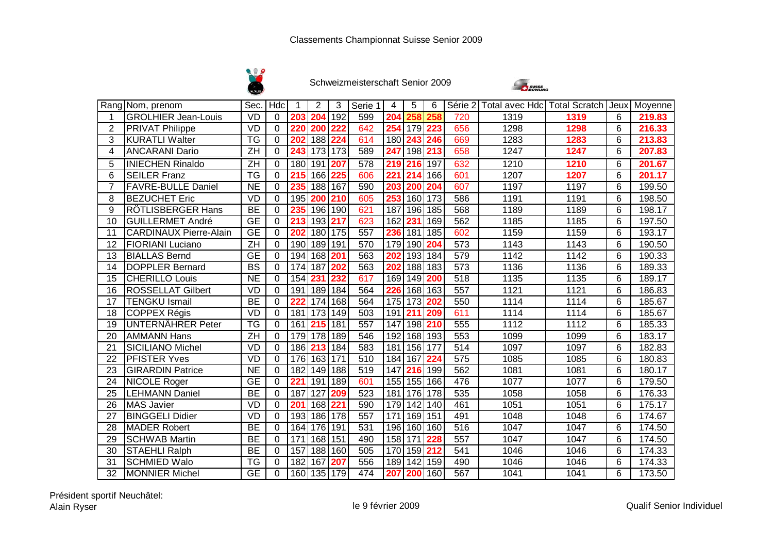



|                | Rang Nom, prenom              | Sec. Hdc                            |             |     | $\overline{2}$   | 3       | Serie 1 | 4                | 5                | 6   |                  | Série 2 Total avec Hdc Total Scratch Jeux Moyenne |      |                |        |
|----------------|-------------------------------|-------------------------------------|-------------|-----|------------------|---------|---------|------------------|------------------|-----|------------------|---------------------------------------------------|------|----------------|--------|
| 1              | <b>GROLHIER Jean-Louis</b>    | <b>VD</b>                           | $\Omega$    | 203 | 204              | 192     | 599     | 204              | 258              | 258 | 720              | 1319                                              | 1319 | 6              | 219.83 |
| $\overline{2}$ | <b>PRIVAT Philippe</b>        | <b>VD</b>                           | $\Omega$    | 220 | 200              | 222     | 642     | 254              | 179              | 223 | 656              | 1298                                              | 1298 | 6              | 216.33 |
| 3              | <b>KURATLI Walter</b>         | <b>TG</b>                           | $\Omega$    | 202 | 188 224          |         | 614     | 180              | 243              | 246 | 669              | 1283                                              | 1283 | 6              | 213.83 |
| 4              | <b>ANCARANI Dario</b>         | ZH                                  | 0           | 243 | 173 173          |         | 589     | 247              | 198              | 213 | 658              | 1247                                              | 1247 | 6              | 207.83 |
| $\overline{5}$ | <b>INIECHEN Rinaldo</b>       | $\overline{ZH}$                     | $\Omega$    | 180 | 191 207          |         | 578     | $\overline{219}$ | $\overline{216}$ | 197 | 632              | 1210                                              | 1210 | 6              | 201.67 |
| 6              | <b>SEILER Franz</b>           | $\overline{\mathsf{TG}}$            | $\Omega$    | 215 | 166 225          |         | 606     | 221              | 214              | 166 | 601              | 1207                                              | 1207 | $6\phantom{1}$ | 201.17 |
| $\overline{7}$ | <b>FAVRE-BULLE Daniel</b>     | <b>NE</b>                           | $\Omega$    | 235 | 188 167          |         | 590     | 203              | 200              | 204 | 607              | 1197                                              | 1197 | 6              | 199.50 |
| 8              | <b>BEZUCHET Eric</b>          | <b>VD</b>                           | $\Omega$    | 195 | 200 210          |         | 605     | 253              | 160              | 173 | 586              | 1191                                              | 1191 | 6              | 198.50 |
| 9              | <b>RÖTLISBERGER Hans</b>      | <b>BE</b>                           | $\Omega$    | 235 | 196 190          |         | 621     | 187              | 196              | 185 | 568              | 1189                                              | 1189 | 6              | 198.17 |
| 10             | <b>GUILLERMET André</b>       | $\overline{\mathsf{GE}}$            | $\mathbf 0$ | 213 | 193 217          |         | 623     | 162              | 231              | 169 | 562              | 1185                                              | 1185 | 6              | 197.50 |
| 11             | <b>CARDINAUX Pierre-Alain</b> | <b>GE</b>                           | $\Omega$    | 202 |                  | 180 175 | 557     | 236              | 181              | 185 | 602              | 1159                                              | 1159 | 6              | 193.17 |
| 12             | FIORIANI Luciano              | ZH                                  | $\Omega$    | 190 | 189 191          |         | 570     | 179              | 190              | 204 | 573              | 1143                                              | 1143 | 6              | 190.50 |
| 13             | <b>BIALLAS Bernd</b>          | $\overline{\overline{\mathsf{GE}}}$ | $\Omega$    | 194 | 168 201          |         | 563     | 202              | 193              | 184 | 579              | 1142                                              | 1142 | 6              | 190.33 |
| 14             | <b>DOPPLER Bernard</b>        | <b>BS</b>                           | $\Omega$    | 174 | 187 202          |         | 563     | 202              | 188              | 183 | $\overline{573}$ | 1136                                              | 1136 | 6              | 189.33 |
| 15             | <b>CHERILLO Louis</b>         | <b>NE</b>                           | $\Omega$    | 154 | 231              | 232     | 617     | 169              | 149              | 200 | 518              | 1135                                              | 1135 | 6              | 189.17 |
| 16             | <b>ROSSELLAT Gilbert</b>      | <b>VD</b>                           | $\Omega$    | 191 | 189 184          |         | 564     | 226              | 168 163          |     | 557              | 1121                                              | 1121 | 6              | 186.83 |
| 17             | <b>TENGKU Ismail</b>          | <b>BE</b>                           | $\mathbf 0$ | 222 | 174 168          |         | 564     | 175              | 173              | 202 | 550              | 1114                                              | 1114 | 6              | 185.67 |
| 18             | COPPEX Régis                  | <b>VD</b>                           | $\mathbf 0$ | 181 | 173 149          |         | 503     | 191              | 211              | 209 | 611              | 1114                                              | 1114 | 6              | 185.67 |
| 19             | UNTERNÄHRER Peter             | <b>TG</b>                           | 0           | 161 | 215 181          |         | 557     | 147              | 198              | 210 | 555              | 1112                                              | 1112 | 6              | 185.33 |
| 20             | AMMANN Hans                   | $\overline{ZH}$                     | $\Omega$    | 179 | 178 189          |         | 546     | 192              | 168              | 193 | 553              | 1099                                              | 1099 | 6              | 183.17 |
| 21             | <b>SICILIANO Michel</b>       | VD                                  | $\Omega$    | 186 | 213              | 184     | 583     | 181              | 156              | 177 | $\overline{514}$ | 1097                                              | 1097 | 6              | 182.83 |
| 22             | <b>PFISTER Yves</b>           | <b>VD</b>                           | $\Omega$    | 176 | 163 171          |         | 510     | 184              | 167              | 224 | 575              | 1085                                              | 1085 | 6              | 180.83 |
| 23             | <b>GIRARDIN Patrice</b>       | <b>NE</b>                           | 0           | 182 | 149 188          |         | 519     | 147              | 216              | 199 | 562              | 1081                                              | 1081 | 6              | 180.17 |
| 24             | <b>NICOLE Roger</b>           | <b>GE</b>                           | $\Omega$    | 221 | 191 189          |         | 601     |                  | 155 155          | 166 | 476              | 1077                                              | 1077 | 6              | 179.50 |
| 25             | <b>LEHMANN Daniel</b>         | <b>BE</b>                           | $\mathbf 0$ | 187 | $\overline{127}$ | 209     | 523     | 181              | 176              | 178 | 535              | 1058                                              | 1058 | 6              | 176.33 |
| 26             | <b>MAS Javier</b>             | <b>VD</b>                           | $\Omega$    | 201 | 168 221          |         | 590     | 179              | 142              | 140 | 461              | 1051                                              | 1051 | 6              | 175.17 |
| 27             | <b>BINGGELI Didier</b>        | <b>VD</b>                           | 0           | 193 | 186 178          |         | 557     | 171              | 169              | 151 | 491              | 1048                                              | 1048 | 6              | 174.67 |
| 28             | <b>MADER Robert</b>           | <b>BE</b>                           | $\Omega$    | 164 | 176 191          |         | 531     | 196              | 160              | 160 | 516              | 1047                                              | 1047 | 6              | 174.50 |
| 29             | <b>SCHWAB Martin</b>          | <b>BE</b>                           | $\Omega$    | 171 | 168 151          |         | 490     | 158              | 171              | 228 | 557              | 1047                                              | 1047 | 6              | 174.50 |
| 30             | <b>STAEHLI Ralph</b>          | <b>BE</b>                           | $\Omega$    | 157 | 188 160          |         | 505     |                  | 170 159          | 212 | 541              | 1046                                              | 1046 | 6              | 174.33 |
| 31             | <b>SCHMIED Walo</b>           | $\overline{\mathsf{TG}}$            | $\Omega$    | 182 | 167              | 207     | 556     | 189              | 142              | 159 | 490              | 1046                                              | 1046 | 6              | 174.33 |
| 32             | <b>MONNIER Michel</b>         | $\overline{\overline{\mathsf{GE}}}$ | $\mathbf 0$ |     | 160 135 179      |         | 474     | 207              | 200              | 160 | 567              | 1041                                              | 1041 | 6              | 173.50 |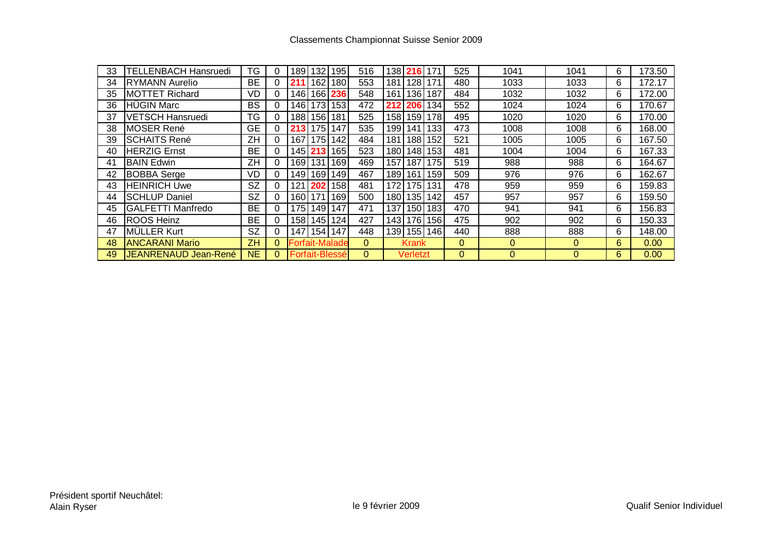| 33 | <b>TELLENBACH Hansruedi</b> | TG        | $\Omega$     | 89    | 132 <sub>1</sub>      | 1951             | 516          | 1381 | <b>216</b>      |                 | 525 | 1041     | 1041     | 6 | 173.50 |
|----|-----------------------------|-----------|--------------|-------|-----------------------|------------------|--------------|------|-----------------|-----------------|-----|----------|----------|---|--------|
| 34 | <b>RYMANN Aurelio</b>       | <b>BE</b> | 0            |       | 162                   | 180              | 553          | 181  | 128             | 171             | 480 | 1033     | 1033     | 6 | 172.17 |
| 35 | <b>MOTTET Richard</b>       | VD        | $\Omega$     | 146   | 1661                  | 236              | 548          | 161  | 136             | 187             | 484 | 1032     | 1032     | 6 | 172.00 |
| 36 | <b>HÜGIN Marc</b>           | <b>BS</b> | $\Omega$     | ∣46 I | 1731                  | 153              | 472          |      | 212 206         | 134             | 552 | 1024     | 1024     | 6 | 170.67 |
| 37 | <b>VETSCH Hansruedi</b>     | TG        | $\Omega$     | 88    | 1561                  | 181              | 525          |      | 158 159         | 178             | 495 | 1020     | 1020     | 6 | 170.00 |
| 38 | MOSER René                  | <b>GE</b> |              | 213   | 175                   | 147              | 535          | 199  | .141            | 133             | 473 | 1008     | 1008     | 6 | 168.00 |
| 39 | <b>SCHAITS René</b>         | ZH        | 0            | 167   | 175                   | 142              | 484          | 181  | 188             | 152             | 521 | 1005     | 1005     | 6 | 167.50 |
| 40 | <b>HERZIG Ernst</b>         | ВE        | 0            | 1451  |                       | 165              | 523          | 180  | 148             | 153             | 481 | 1004     | 1004     | 6 | 167.33 |
| 41 | <b>BAIN Edwin</b>           | ZH        | $\Omega$     | 169   | 131                   | 169              | 469          | 157  | 187             | 175             | 519 | 988      | 988      | 6 | 164.67 |
| 42 | <b>BOBBA</b> Serge          | VD        | $\Omega$     | 149   | 1691                  | 149              | 467          |      | 189 161         | 159             | 509 | 976      | 976      | 6 | 162.67 |
| 43 | <b>HEINRICH Uwe</b>         | <b>SZ</b> | $\Omega$     | 121   | 202                   | 158              | 481          | 172  | 175             | 131             | 478 | 959      | 959      | 6 | 159.83 |
| 44 | <b>SCHLUP Daniel</b>        | <b>SZ</b> | 0            | 60    | 171                   | 169              | 500          | 1801 | 135             | 142             | 457 | 957      | 957      | 6 | 159.50 |
| 45 | GALFETTI Manfredo           | <b>BE</b> | 0            | 75    | 149                   | 147              | 471          | 137  | 150             | 183             | 470 | 941      | 941      | 6 | 156.83 |
| 46 | <b>ROOS Heinz</b>           | <b>BE</b> | $\Omega$     | 1581  | 145                   | 124 <sub>1</sub> | 427          | 1431 | 176             | 156             | 475 | 902      | 902      | 6 | 150.33 |
| 47 | MÜLLER Kurt                 | <b>SZ</b> | 0            | 147   | 154 147               |                  | 448          |      |                 | 139   155   146 | 440 | 888      | 888      | 6 | 148.00 |
| 48 | <b>ANCARANI Mario</b>       | ZΗ        | $\mathbf{0}$ |       | <b>Forfait-Malade</b> |                  | $\mathbf{0}$ |      | <b>Krank</b>    |                 | 0   | $\Omega$ | $\Omega$ | 6 | 0.00   |
| 49 | JEANRENAUD Jean-René        | <b>NE</b> | 0            |       | Forfait-Blessé        |                  | $\Omega$     |      | <b>Verletzt</b> |                 | 0   | $\Omega$ | $\Omega$ | 6 | 0.00   |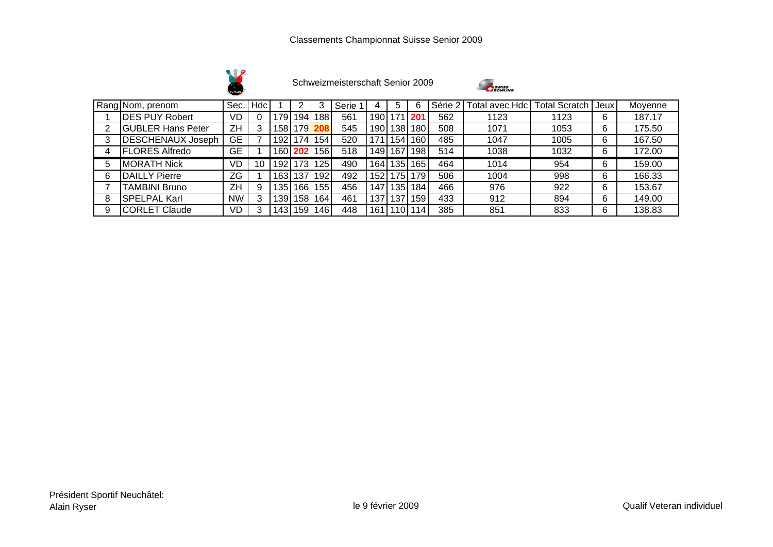



|   | Rang Nom, prenom         | Sec.      | Hdc |     |     |                  | Serie |       |      |        | Série 2 | Total avec Hdc <sup>l</sup> l | <b>Total Scratch</b> | Jeux | Moyenne |
|---|--------------------------|-----------|-----|-----|-----|------------------|-------|-------|------|--------|---------|-------------------------------|----------------------|------|---------|
|   | <b>DES PUY Robert</b>    | VD        |     | 79  | 194 | 188              | 561   | 190.  | 171  |        | 562     | 1123                          | 1123                 | 6    | 187.17  |
|   | <b>GUBLER Hans Peter</b> | ZΗ        |     | 58  | 179 |                  | 545   | 190   | 38   | 180    | 508     | 1071                          | 1053                 | 6    | 175.50  |
| 3 | <b>DESCHENAUX Joseph</b> | GЕ        |     | '92 | 74. | 154              | 520   | 71    | 54   | 160    | 485     | 1047                          | 1005                 | 6    | 167.50  |
|   | <b>FLORES Alfredo</b>    | GЕ        |     | 160 | 202 | 156              | 518   | 149   | 167  | 198    | 514     | 1038                          | 1032                 | 6    | 172.00  |
| 5 | <b>MORATH Nick</b>       | VD        |     | '92 | 173 | 125              | 490   | 164 I | l 35 | 165    | 464     | 1014                          | 954                  | 6    | 159.00  |
| 6 | <b>DAILLY Pierre</b>     | ZG        |     | '63 | 137 | 192              | 492   | 152   | 75   | ا 79   | 506     | 1004                          | 998                  | 6    | 166.33  |
|   | <b>TAMBINI Bruno</b>     | ZΗ        | 9   | 35  | 166 | 1551             | 456   | 147   | 35   | 184    | 466     | 976                           | 922                  | 6    | 153.67  |
| 8 | <b>SPELPAL Karl</b>      | NW        | 3   | 39  | 158 | 164 <sub>1</sub> | 461   | 137   | 37   | 159    | 433     | 912                           | 894                  | 6    | 149.00  |
| 9 | <b>CORLET Claude</b>     | <b>VD</b> |     | 43  | 159 | 146              | 448   | 161   | 10   | ່ 14 ເ | 385     | 851                           | 833                  | 6    | 138.83  |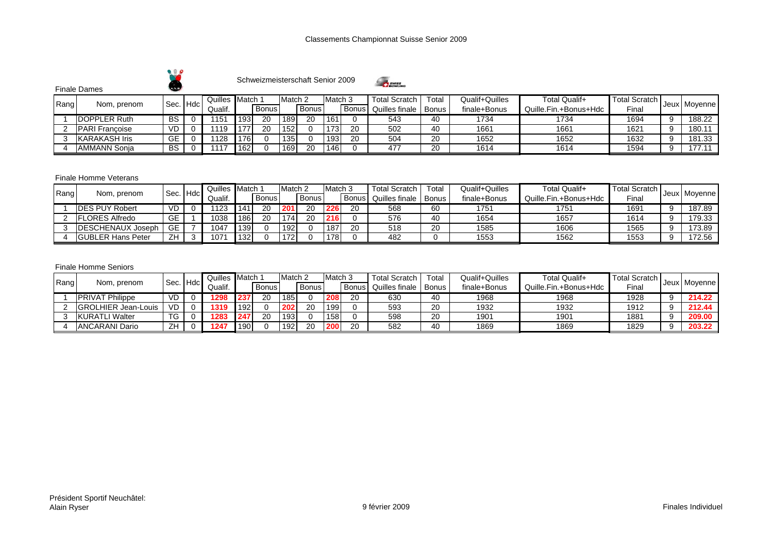



Finale Dames

|      |                       | Sec. Hdc  | Quilles        | Match |       | Match 2          |              | Match 3 |       | Total Scratch  | Total        | Qualif+Quilles | Total Qualif+         | Total Scratch |              |
|------|-----------------------|-----------|----------------|-------|-------|------------------|--------------|---------|-------|----------------|--------------|----------------|-----------------------|---------------|--------------|
| Rang | Nom, prenom           |           | Qualif.        |       | Bonus |                  | <b>Bonus</b> |         | Bonus | Quilles finale | <b>Bonus</b> | finale+Bonus   | Quille.Fin.+Bonus+Hdc | ⊑ina.         | Jeux Moyenne |
|      | <b>IDOPPLER Ruth</b>  | BS        | 115 $^{\circ}$ | 193   | 20    | 189 <sub>1</sub> | 20           | 161     |       | 543            | 40           | 1734           | 1734                  | 1694          | 188.22       |
|      | <b>PARI Francoise</b> | <b>VD</b> | 119            |       | 20    | 152              |              | 173     | 20    | 502            | 40           | 1661           | 1661                  | 1621          | 180.1        |
|      | <b>KARAKASH Iris</b>  | GE        | 1128           | 176   |       | 135              |              | 193     | 20    | 504            | 20           | 1652           | 1652                  | 1632          | 181.33       |
|      | <b>AMMANN Sonia</b>   | BS        |                | 162   |       | 169              | 20           | 146     |       | 477            | 20           | 1614           | 1614                  | 1594          | 177.1        |

## Finale Homme Veterans

|      |                           | Hdc<br>Sec. | Quilles | Match |       | Match <sub>2</sub> |       | Match 3 |              | <b>Total Scratch</b>   | $\tau$ otal | <b>Qualif+Quilles</b> | Total Qualif+         | <b>Total Scratch</b> |              |
|------|---------------------------|-------------|---------|-------|-------|--------------------|-------|---------|--------------|------------------------|-------------|-----------------------|-----------------------|----------------------|--------------|
| Rang | Nom, prenom               |             | Qualif. |       | Bonus |                    | Bonus |         | <b>Bonus</b> | Quilles finale   Bonus |             | finale+Bonus          | Quille.Fin.+Bonus+Hdc | Final                | Jeux Moyenne |
|      | <b>IDES PUY Robert</b>    | VD.         | 1123    | 14    | 20    | 20 <sup>1</sup>    | 20    | 226     | 20           | 568                    | 60          | 1751                  | 1751                  | 1691                 | 187.89       |
|      | <b>IFLORES Alfredo</b>    | GE          | 1038    | 186   | 20    | 174                | 20    | 216     |              | 576                    | 40          | 1654                  | 1657                  | 1614                 | 179.33       |
|      | <b>IDESCHENAUX Joseph</b> | GE          | 1047    |       |       | 192                |       | 187     | 20           | 518                    | 20          | 1585                  | 1606                  | 1565                 | 173.89       |
|      | <b>IGUBLER Hans Peter</b> | ΖH          | 107     | 132   |       | 170.               |       | 178     |              | 482                    |             | 1553                  | 1562                  | 1553                 | 172.56       |

## Finale Homme Seniors

| Rang<br>Nom, prenom         |           | <b>Quilles</b> | Match |       | Match 2 |              | Match 3 |              | <b>Total Scratch</b> | Total        | Qualif+Quilles | Total Qualif+         | Total Scratch I |              |
|-----------------------------|-----------|----------------|-------|-------|---------|--------------|---------|--------------|----------------------|--------------|----------------|-----------------------|-----------------|--------------|
|                             | Sec. Hdc  | Qualif.        |       | Bonus |         | <b>Bonus</b> |         | <b>Bonus</b> | Quilles finale       | <b>Bonus</b> | finale+Bonus   | Quille.Fin.+Bonus+Hdc | Fina∟           | Jeux Moyenne |
| <b>PRIVAT Philippe</b>      | VD        | 1298           | 23    | 20    | 185     |              | 208     | 20           | 630                  | 40           | 1968           | 1968                  | 1928            | 214.22       |
| <b>IGROLHIER Jean-Louis</b> | <b>VD</b> | 1319           | 192   |       | 202     | 20           | 199     |              | 593                  | 20           | 1932           | 1932                  | 1912            | 212.44       |
| <b>KURATLI Walter</b>       | TG        | 1283           | 247   | 20    | 193     |              | 158     |              | 598                  | 20           | 1901           | 1901                  | 1881            | 209.00       |
| <b>ANCARANI Dario</b>       | ΖH        | 1247           | 190   |       | 192     | 20           | 200     | 20           | 582                  | 40           | 1869           | 1869                  | 1829            | 203.22       |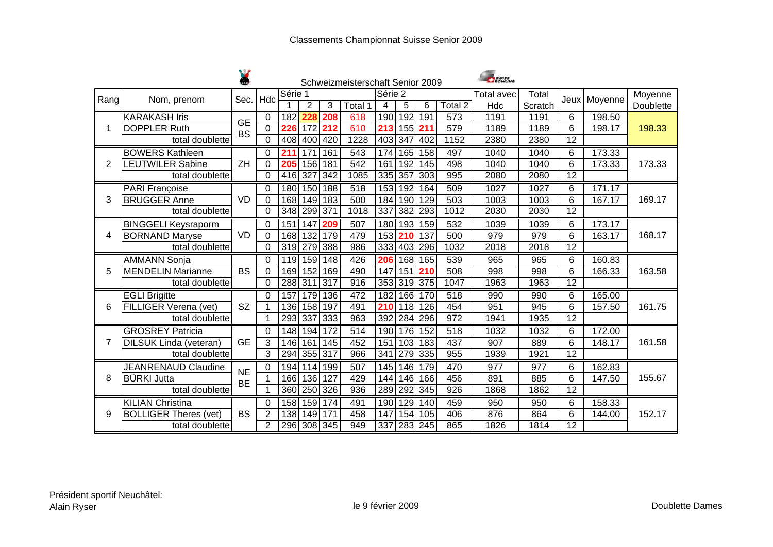|      |                              |           |                |         |                |     | Schweizmeisterschaft Senior 2009 |         |                  |                  |                      | <b>SWISS</b> |         |                 |              |           |
|------|------------------------------|-----------|----------------|---------|----------------|-----|----------------------------------|---------|------------------|------------------|----------------------|--------------|---------|-----------------|--------------|-----------|
| Rang | Nom, prenom                  | Sec.      | Hdc            | Série 1 |                |     |                                  | Série 2 |                  |                  |                      | Total avec   | Total   |                 | Jeux Moyenne | Moyenne   |
|      |                              |           |                |         | $\overline{2}$ | 3   | Total 1                          | 4       | 5                | 6                | Total $\overline{2}$ | Hdc          | Scratch |                 |              | Doublette |
|      | <b>KARAKASH Iris</b>         | <b>GE</b> | 0              | 182     |                | 208 | 618                              | 190     | 192              | 191              | 573                  | 1191         | 1191    | 6               | 198.50       |           |
| 1    | <b>DOPPLER Ruth</b>          | <b>BS</b> | $\mathbf 0$    | 226     | 172            | 212 | 610                              | 213     | 155              | 211              | 579                  | 1189         | 1189    | 6               | 198.17       | 198.33    |
|      | total doublette              |           | $\mathbf 0$    | 408     | 400            | 420 | 1228                             |         | 403 347          | 402              | 1152                 | 2380         | 2380    | $\overline{12}$ |              |           |
|      | <b>BOWERS Kathleen</b>       |           | 0              | 211     | 171            | 161 | 543                              |         | 174 165          | 158              | 497                  | 1040         | 1040    | 6               | 173.33       |           |
| 2    | <b>LEUTWILER Sabine</b>      | ZH        | $\mathbf 0$    | 205     | 156            | 181 | 542                              | 161     | 192              | 145              | 498                  | 1040         | 1040    | 6               | 173.33       | 173.33    |
|      | total doublette              |           | $\overline{0}$ | 416 327 |                | 342 | 1085                             | 335     | 357              | 303              | 995                  | 2080         | 2080    | $\overline{12}$ |              |           |
|      | PARI Françoise               |           | 0              |         | 180 150        | 188 | 518                              | 153     | 192              | 164              | 509                  | 1027         | 1027    | 6               | 171.17       |           |
| 3    | <b>BRUGGER Anne</b>          | <b>VD</b> | $\mathbf 0$    |         | 168 149        | 183 | 500                              | 184     | 190              | 129              | 503                  | 1003         | 1003    | 6               | 167.17       | 169.17    |
|      | total doublette              |           | $\Omega$       |         | 348 299 371    |     | 1018                             | 337     | 382              | 293              | 1012                 | 2030         | 2030    | $\overline{12}$ |              |           |
|      | <b>BINGGELI Keysraporm</b>   |           | $\mathbf 0$    | 151     | 147            | 209 | 507                              | 180     | 193              | 159              | 532                  | 1039         | 1039    | 6               | 173.17       |           |
| 4    | <b>BORNAND Maryse</b>        | <b>VD</b> | 0              | 168     | 132            | 179 | 479                              | 153     | 210              | 137              | 500                  | 979          | 979     | 6               | 163.17       | 168.17    |
|      | total doublette              |           | 0              |         | 319 279        | 388 | 986                              |         | 333 403          | 296              | 1032                 | 2018         | 2018    | 12              |              |           |
|      | <b>AMMANN Sonja</b>          |           | 0              |         | 119 159        | 148 | 426                              | 206     | 168              | 165              | 539                  | 965          | 965     | 6               | 160.83       |           |
| 5    | <b>MENDELIN Marianne</b>     | <b>BS</b> | $\mathbf 0$    |         | 169 152        | 169 | 490                              | 147     | 151              | 210              | 508                  | 998          | 998     | 6               | 166.33       | 163.58    |
|      | total doublette              |           | $\mathbf 0$    |         | 288 311        | 317 | $\overline{916}$                 |         | 353 319          | 375              | 1047                 | 1963         | 1963    | $\overline{12}$ |              |           |
|      | <b>EGLI Brigitte</b>         |           | $\Omega$       |         | 157 179        | 136 | 472                              | 182     | 166              | 170              | $\overline{518}$     | 990          | 990     | 6               | 165.00       |           |
| 6    | FILLIGER Verena (vet)        | <b>SZ</b> | 1              |         | 136 158        | 197 | 491                              | 210     | 118              | 126              | 454                  | 951          | 945     | 6               | 157.50       | 161.75    |
|      | total doublette              |           | 1              |         | 293 337 333    |     | 963                              | 392     | 284              | 296              | $\overline{972}$     | 1941         | 1935    | $\overline{12}$ |              |           |
|      | <b>GROSREY Patricia</b>      |           | $\pmb{0}$      |         | 148 194        | 172 | 514                              | 190     | 176              | 152              | 518                  | 1032         | 1032    | 6               | 172.00       |           |
| 7    | DILSUK Linda (veteran)       | <b>GE</b> | 3              |         | 146 161        | 145 | 452                              | 151     | 103              | 183              | 437                  | 907          | 889     | 6               | 148.17       | 161.58    |
|      | total doublette              |           | 3              | 294     | 355            | 317 | 966                              | 341     | 279              | 335              | 955                  | 1939         | 1921    | $\overline{12}$ |              |           |
|      | <b>JEANRENAUD Claudine</b>   |           | 0              |         | 194   114      | 199 | 507                              | 145     | 146              | 179              | 470                  | 977          | 977     | 6               | 162.83       |           |
| 8    | <b>BÜRKI Jutta</b>           | <b>NE</b> | 1              |         | 166 136        | 127 | 429                              | 144     | 146              | 166              | 456                  | 891          | 885     | 6               | 147.50       | 155.67    |
|      | total doublette              | <b>BE</b> | 1              |         | 360 250        | 326 | 936                              | 289     | 292              | 345              | $\overline{926}$     | 1868         | 1862    | $\overline{12}$ |              |           |
|      | <b>KILIAN Christina</b>      |           | 0              |         | 158 159        | 174 | 491                              | 190     | 129              | 140              | 459                  | 950          | 950     | 6               | 158.33       |           |
| 9    | <b>BOLLIGER Theres (vet)</b> | <b>BS</b> | $\overline{2}$ | 138     | 149            | 171 | 458                              | 147     | 154              | 105              | 406                  | 876          | 864     | 6               | 144.00       | 152.17    |
|      | total doublette              |           | $\overline{2}$ |         | 296 308 345    |     | 949                              | 337     | $\overline{283}$ | $\overline{245}$ | 865                  | 1826         | 1814    | $\overline{12}$ |              |           |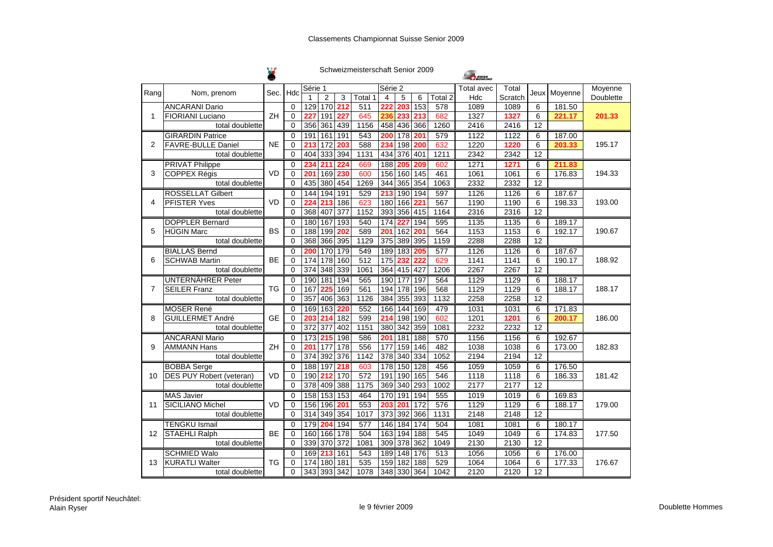W

|                |                                 |           |                |                 |                  |                  | Schweizmeisterschaft Senior 2009 |                |                  |                  |         | <b>SWISS</b> |         |                 |              |           |
|----------------|---------------------------------|-----------|----------------|-----------------|------------------|------------------|----------------------------------|----------------|------------------|------------------|---------|--------------|---------|-----------------|--------------|-----------|
|                |                                 |           | Hdc            | Série 1         |                  |                  |                                  | Série 2        |                  |                  |         | Total avec   | Total   |                 | Jeux Moyenne | Moyenne   |
| Rang           | Nom, prenom                     | Sec.      |                |                 | $\overline{2}$   | 3                | Total 1                          | $\overline{4}$ | 5                | 6                | Total 2 | Hdc          | Scratch |                 |              | Doublette |
|                | <b>ANCARANI Dario</b>           |           | $\Omega$       | 129             | 170              | 212              | 511                              | 222            | 203              | 153              | 578     | 1089         | 1089    | 6               | 181.50       |           |
| $\mathbf{1}$   | <b>FIORIANI Luciano</b>         | ZH        | $\Omega$       | 22              | 191              | 227              | 645                              | 236            | 23               | 213              | 682     | 1327         | 1327    | 6               | 221.17       | 201.33    |
|                | total doublette                 |           | 0              | 356             | 361              | 439              | 1156                             | 458            | 436              | 366              | 1260    | 2416         | 2416    | $\overline{12}$ |              |           |
|                | <b>GIRARDIN Patrice</b>         |           | $\Omega$       | 191             | 161              | 191              | 543                              | 200            | $\overline{178}$ | 201              | 579     | 1122         | 1122    | 6               | 187.00       |           |
| $\overline{2}$ | <b>FAVRE-BULLE Daniel</b>       | <b>NE</b> | 0              | 213             | $\overline{172}$ | 203              | 588                              | 234            | 198              | 200              | 632     | 1220         | 1220    | 6               | 203.33       | 195.17    |
|                | total doublette                 |           | $\overline{0}$ | 404             | 333 394          |                  | 1131                             | 434            | 376              | 401              | 1211    | 2342         | 2342    | 12              |              |           |
|                | <b>PRIVAT Philippe</b>          |           | $\Omega$       | 23 <sub>1</sub> | 211              | 224              | 669                              | 188            | 205              | 209              | 602     | 1271         | 1271    | 6               | 211.83       |           |
| 3              | <b>COPPEX Régis</b>             | VD        | $\Omega$       | 20 <sup>7</sup> | 169              | 230              | 600                              | 156            | 160              | $\overline{145}$ | 461     | 1061         | 1061    | 6               | 176.83       | 194.33    |
|                | total doublette                 |           | 0              | 435             | 380              | 454              | 1269                             | 344            | 365              | 354              | 1063    | 2332         | 2332    | 12              |              |           |
|                | <b>ROSSELLAT Gilbert</b>        |           | $\Omega$       |                 | 144 194 191      |                  | 529                              | 213            |                  | 190 194          | 597     | 1126         | 1126    | 6               | 187.67       |           |
| 4              | <b>PFISTER Yves</b>             | <b>VD</b> | $\Omega$       | 22 <sub>0</sub> | 213              | 186              | 623                              | 180            | 166              | 221              | 567     | 1190         | 1190    | 6               | 198.33       | 193.00    |
|                | total doublette                 |           | $\Omega$       | 368             | 407              | 377              | 1152                             | 393            | 356              | 415              | 1164    | 2316         | 2316    | $\overline{12}$ |              |           |
|                | <b>DOPPLER Bernard</b>          |           | 0              | 180             | 167              | 193              | 540                              | 174            | 227              | 194              | 595     | 1135         | 1135    | 6               | 189.17       |           |
| 5              | <b>HÜGIN Marc</b>               | <b>BS</b> | $\Omega$       | 188             | 199              | 202              | 589                              | 201            | 162              | 201              | 564     | 1153         | 1153    | 6               | 192.17       | 190.67    |
|                | total doublette                 |           | $\Omega$       | 368             | 366 395          |                  | 1129                             | 375            | 389              | 395              | 1159    | 2288         | 2288    | $\overline{12}$ |              |           |
|                | <b>BIALLAS Bernd</b>            |           | $\Omega$       | 200             | 170 179          |                  | 549                              | 189            | 183              | 205              | 577     | 1126         | 1126    | 6               | 187.67       |           |
| 6              | <b>SCHWAB Martin</b>            | <b>BE</b> | $\Omega$       | 174             | 178              | 160              | 512                              | 175            | 232              | 222              | 629     | 1141         | 1141    | 6               | 190.17       | 188.92    |
|                | total doublette                 |           | $\Omega$       | 374             | 348              | 339              | 1061                             | 364            | 415              | 427              | 1206    | 2267         | 2267    | 12              |              |           |
|                | <b>UNTERNÄHRER Peter</b>        |           | $\Omega$       |                 | 190 181          | 194              | 565                              | 190            | $\overline{177}$ | 197              | 564     | 1129         | 1129    | 6               | 188.17       |           |
| 7              | <b>SEILER Franz</b>             | <b>TG</b> | 0              | 167             | 225              | 169              | 561                              | 194            | 178              | 196              | 568     | 1129         | 1129    | 6               | 188.17       | 188.17    |
|                | total doublette                 |           | $\Omega$       | 357             | 406              | 363              | 1126                             | 384            | 355              | 393              | 1132    | 2258         | 2258    | $\overline{12}$ |              |           |
|                | <b>MOSER René</b>               |           | 0              | 169             | 163              | 220              | 552                              | 166            | 144              | 169              | 479     | 1031         | 1031    | 6               | 171.83       |           |
| 8              | <b>GUILLERMET André</b>         | <b>GE</b> | $\Omega$       | 203             | 214              | $\overline{182}$ | 599                              | 214            | 198              | 190              | 602     | 1201         | 1201    | 6               | 200.17       | 186.00    |
|                | total doublette                 |           | 0              | 372 377         |                  | 402              | 1151                             | 380            | $\overline{342}$ | 359              | 1081    | 2232         | 2232    | $\overline{12}$ |              |           |
|                | <b>ANCARANI Mario</b>           |           | $\Omega$       | 173             | 215              | 198              | 586                              | 201            | 181              | 188              | 570     | 1156         | 1156    | 6               | 192.67       |           |
| 9              | <b>AMMANN Hans</b>              | ZH        | 0              | 201             | 177              | 178              | 556                              | 177            | 159              | 146              | 482     | 1038         | 1038    | 6               | 173.00       | 182.83    |
|                | total doublette                 |           | $\Omega$       | 374             | 392              | 376              | 1142                             | 378            | 340              | 334              | 1052    | 2194         | 2194    | $\overline{12}$ |              |           |
|                | <b>BOBBA</b> Serge              |           | $\Omega$       | 188 197         |                  | 218              | 603                              | 178            | 150              | 128              | 456     | 1059         | 1059    | 6               | 176.50       |           |
| 10             | <b>DES PUY Robert (veteran)</b> | <b>VD</b> | 0              | 190             | 212              | 170              | 572                              | 191            | 190              | 165              | 546     | 1118         | 1118    | 6               | 186.33       | 181.42    |
|                | total doublette                 |           | 0              | 378             | 409              | 388              | 1175                             | 369            | 340              | 293              | 1002    | 2177         | 2177    | 12              |              |           |
|                | <b>MAS Javier</b>               |           | $\Omega$       |                 | 158 153          | 153              | 464                              | 170            | 191              | 194              | 555     | 1019         | 1019    | 6               | 169.83       |           |
| 11             | <b>SICILIANO Michel</b>         | VD        | $\Omega$       |                 | 156 196          | 201              | 553                              | 203            | 201              | 172              | 576     | 1129         | 1129    | 6               | 188.17       | 179.00    |
|                | total doublette                 |           | $\overline{0}$ | 314             | 349              | 354              | 1017                             | 373            | 392              | 366              | 1131    | 2148         | 2148    | 12              |              |           |
|                | <b>TENGKU Ismail</b>            |           | $\mathbf 0$    | 179             | 204              | 194              | 577                              | 146            | 184              | 174              | 504     | 1081         | 1081    | 6               | 180.17       |           |
| 12             | <b>STAEHLI Ralph</b>            | <b>BE</b> | $\Omega$       | 160             | 166              | 178              | 504                              | 163            | 194              | 188              | 545     | 1049         | 1049    | 6               | 174.83       | 177.50    |
|                | total doublette                 |           | $\Omega$       |                 | 339 370 372      |                  | 1081                             | 309            | 378              | 362              | 1049    | 2130         | 2130    | $\overline{12}$ |              |           |
|                | <b>SCHMIED Walo</b>             |           | $\Omega$       | 169             | 213              | 161              | 543                              | 189            | 148              | 176              | 513     | 1056         | 1056    | 6               | 176.00       |           |
| 13             | <b>KURATLI Walter</b>           | ТG        | 0              | 174             | 180              | 181              | 535                              | 159            | 182              | 188              | 529     | 1064         | 1064    | 6               | 177.33       | 176.67    |
|                | total doublette                 |           | 0              |                 |                  | 343 393 342      | 1078                             |                |                  | 348 330 364      | 1042    | 2120         | 2120    | $\overline{12}$ |              |           |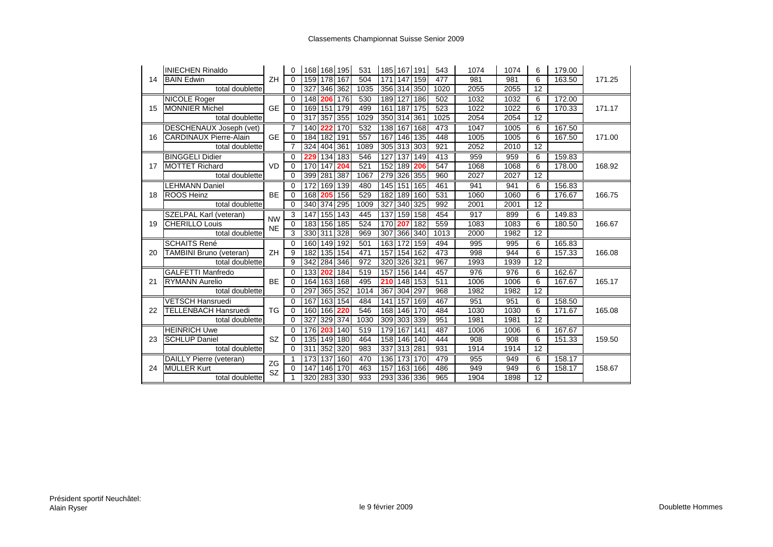|    | <b>INIECHEN Rinaldo</b>        |           | $\Omega$       |         |             | 168 168 195 | 531  |             |             | 185 167 191 | 543  | 1074 | 1074 | 6               | 179.00 |        |
|----|--------------------------------|-----------|----------------|---------|-------------|-------------|------|-------------|-------------|-------------|------|------|------|-----------------|--------|--------|
| 14 | <b>BAIN Edwin</b>              | ZH        | $\Omega$       |         | 159 178 167 |             | 504  |             | 171 147 159 |             | 477  | 981  | 981  | 6               | 163.50 | 171.25 |
|    | total doublette                |           | $\Omega$       | 327     | 346 362     |             | 1035 |             |             | 356 314 350 | 1020 | 2055 | 2055 | 12              |        |        |
|    | <b>NICOLE Roger</b>            |           | 0              |         | 148 206 176 |             | 530  |             | 189 127 186 |             | 502  | 1032 | 1032 | 6               | 172.00 |        |
| 15 | <b>MONNIER Michel</b>          | <b>GE</b> | $\Omega$       |         | 169 151     | 179         | 499  | 161 187     |             | 175         | 523  | 1022 | 1022 | 6               | 170.33 | 171.17 |
|    | total doublette                |           | $\Omega$       | 317     | 357 355     |             | 1029 |             | 350 314 361 |             | 1025 | 2054 | 2054 | $\overline{12}$ |        |        |
|    | <b>DESCHENAUX Joseph (vet)</b> |           | 7              | 140 222 |             | 170         | 532  |             |             | 138 167 168 | 473  | 1047 | 1005 | 6               | 167.50 |        |
| 16 | <b>CARDINAUX Pierre-Alain</b>  | <b>GE</b> | 0              |         | 184 182 191 |             | 557  |             | 167 146 135 |             | 448  | 1005 | 1005 | 6               | 167.50 | 171.00 |
|    | total doublette                |           | 7              |         | 324 404 361 |             | 1089 | 305 313 303 |             |             | 921  | 2052 | 2010 | $\overline{12}$ |        |        |
|    | <b>BINGGELI Didier</b>         |           | $\Omega$       | 229     | 134 183     |             | 546  | 127         | 137 149     |             | 413  | 959  | 959  | 6               | 159.83 |        |
| 17 | <b>MOTTET Richard</b>          | <b>VD</b> | $\Omega$       |         | 170 147     | 204         | 521  |             | 152 189 206 |             | 547  | 1068 | 1068 | 6               | 178.00 | 168.92 |
|    | total doublette                |           | $\Omega$       | 399 281 |             | 387         | 1067 |             | 279 326 355 |             | 960  | 2027 | 2027 | $\overline{12}$ |        |        |
|    | <b>LEHMANN Daniel</b>          |           | $\Omega$       | 172     | 169 139     |             | 480  |             | 145 151 165 |             | 461  | 941  | 941  | 6               | 156.83 |        |
| 18 | <b>ROOS Heinz</b>              | <b>BE</b> | $\Omega$       |         | 168 205     | 156         | 529  |             | 182 189 160 |             | 531  | 1060 | 1060 | 6               | 176.67 | 166.75 |
|    | total doublette                |           | $\Omega$       |         | 340 374 295 |             | 1009 |             | 327 340 325 |             | 992  | 2001 | 2001 | $\overline{12}$ |        |        |
|    | SZELPAL Karl (veteran)         | <b>NW</b> | 3              | 147     | 155 143     |             | 445  |             | 137 159 158 |             | 454  | 917  | 899  | 6               | 149.83 |        |
| 19 | <b>CHERILLO Louis</b>          | <b>NE</b> | $\Omega$       |         | 183 156 185 |             | 524  | 170         | 207         | 182         | 559  | 1083 | 1083 | 6               | 180.50 | 166.67 |
|    | total doublette                |           | $\overline{3}$ |         | 330 311 328 |             | 969  |             |             | 307 366 340 | 1013 | 2000 | 1982 | 12              |        |        |
|    | <b>SCHAITS René</b>            |           | $\Omega$       |         | 160 149 192 |             | 501  |             | 163 172 159 |             | 494  | 995  | 995  | 6               | 165.83 |        |
| 20 | TAMBINI Bruno (veteran)        | ZH        | 9              | 182     | 135 154     |             | 471  | 157         | 154 162     |             | 473  | 998  | 944  | 6               | 157.33 | 166.08 |
|    | total doublette                |           | 9              |         | 342 284 346 |             | 972  |             | 320 326 321 |             | 967  | 1993 | 1939 | 12              |        |        |
|    | <b>GALFETTI Manfredo</b>       |           | $\Omega$       | 133 202 |             | 184         | 519  |             | 157 156 144 |             | 457  | 976  | 976  | 6               | 162.67 |        |
| 21 | <b>RYMANN Aurelio</b>          | <b>BE</b> | $\Omega$       |         | 164 163 168 |             | 495  | 210         | 148 153     |             | 511  | 1006 | 1006 | 6               | 167.67 | 165.17 |
|    | total doublette                |           | $\Omega$       | 297     | 365 352     |             | 1014 | 367         | 304 297     |             | 968  | 1982 | 1982 | $\overline{12}$ |        |        |
|    | <b>VETSCH Hansruedi</b>        |           | $\Omega$       | 167     | 163 154     |             | 484  | 141         | 157 169     |             | 467  | 951  | 951  | 6               | 158.50 |        |
| 22 | <b>TELLENBACH Hansruedi</b>    | <b>TG</b> | 0              |         | 160 166 220 |             | 546  |             | 168 146 170 |             | 484  | 1030 | 1030 | 6               | 171.67 | 165.08 |
|    | total doublette                |           | $\Omega$       | 327     | 329 374     |             | 1030 |             | 309 303 339 |             | 951  | 1981 | 1981 | 12              |        |        |
|    | <b>HEINRICH Uwe</b>            |           | $\Omega$       | 176     | 203         | 140         | 519  |             | 179 167 141 |             | 487  | 1006 | 1006 | 6               | 167.67 |        |
| 23 | <b>SCHLUP Daniel</b>           | <b>SZ</b> | $\Omega$       |         | 135 149 180 |             | 464  |             | 158 146 140 |             | 444  | 908  | 908  | 6               | 151.33 | 159.50 |
|    | total doublette                |           | $\Omega$       |         | 311 352 320 |             | 983  |             | 337 313 281 |             | 931  | 1914 | 1914 | 12              |        |        |
|    | DAILLY Pierre (veteran)        | ZG        |                |         | 173 137 160 |             | 470  |             | 136 173 170 |             | 479  | 955  | 949  | 6               | 158.17 |        |
| 24 | MÜLLER Kurt                    | SZ        | 0              | 147     | 146 170     |             | 463  |             | 157 163 166 |             | 486  | 949  | 949  | 6               | 158.17 | 158.67 |
|    | total doublette                |           |                |         | 320 283 330 |             | 933  | 293 336 336 |             |             | 965  | 1904 | 1898 | $\overline{12}$ |        |        |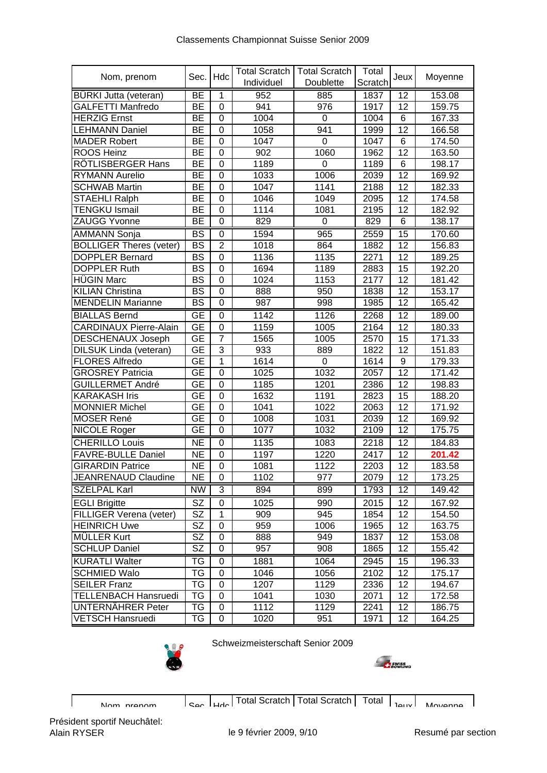|                                |                        |                | <b>Total Scratch</b> | <b>Total Scratch</b> | Total   |       |         |
|--------------------------------|------------------------|----------------|----------------------|----------------------|---------|-------|---------|
| Nom, prenom                    | Sec.                   | Hdc            | Individuel           | Doublette            | Scratch | Jeux  | Moyenne |
| <b>BÜRKI Jutta (veteran)</b>   | <b>BE</b>              | 1              | 952                  | 885                  | 1837    | 12    | 153.08  |
| <b>GALFETTI Manfredo</b>       | <b>BE</b>              | 0              | 941                  | 976                  | 1917    | 12    | 159.75  |
| <b>HERZIG Ernst</b>            | <b>BE</b>              | 0              | 1004                 | $\mathbf 0$          | 1004    | $\,6$ | 167.33  |
| <b>LEHMANN Daniel</b>          | BE                     | $\mathbf 0$    | 1058                 | 941                  | 1999    | 12    | 166.58  |
| <b>MADER Robert</b>            | BЕ                     | 0              | 1047                 | 0                    | 1047    | 6     | 174.50  |
| <b>ROOS Heinz</b>              | BE                     | $\mathbf 0$    | 902                  | 1060                 | 1962    | 12    | 163.50  |
| RÖTLISBERGER Hans              | ВE                     | $\mathbf 0$    | 1189                 | 0                    | 1189    | $\,6$ | 198.17  |
| <b>RYMANN Aurelio</b>          | ВE                     | 0              | 1033                 | 1006                 | 2039    | 12    | 169.92  |
| <b>SCHWAB Martin</b>           | <b>BE</b>              | $\mathbf 0$    | 1047                 | 1141                 | 2188    | 12    | 182.33  |
| <b>STAEHLI Ralph</b>           | <b>BE</b>              | 0              | 1046                 | 1049                 | 2095    | 12    | 174.58  |
| <b>TENGKU Ismail</b>           | ВE                     | 0              | 1114                 | 1081                 | 2195    | 12    | 182.92  |
| ZAUGG Yvonne                   | <b>BE</b>              | $\mathbf 0$    | 829                  | 0                    | 829     | 6     | 138.17  |
| <b>AMMANN Sonja</b>            | <b>BS</b>              | 0              | 1594                 | 965                  | 2559    | 15    | 170.60  |
| <b>BOLLIGER Theres (veter)</b> | <b>BS</b>              | $\overline{2}$ | 1018                 | 864                  | 1882    | 12    | 156.83  |
| <b>DOPPLER Bernard</b>         | <b>BS</b>              | $\mathbf 0$    | 1136                 | 1135                 | 2271    | 12    | 189.25  |
| <b>DOPPLER Ruth</b>            | <b>BS</b>              | $\mathbf 0$    | 1694                 | 1189                 | 2883    | 15    | 192.20  |
| <b>HÜGIN Marc</b>              | <b>BS</b>              | $\mathbf 0$    | 1024                 | 1153                 | 2177    | 12    | 181.42  |
| <b>KILIAN Christina</b>        | <b>BS</b>              | 0              | 888                  | 950                  | 1838    | 12    | 153.17  |
| <b>MENDELIN Marianne</b>       | <b>BS</b>              | 0              | 987                  | 998                  | 1985    | 12    | 165.42  |
| <b>BIALLAS Bernd</b>           | <b>GE</b>              | 0              | 1142                 | 1126                 | 2268    | 12    | 189.00  |
| <b>CARDINAUX Pierre-Alain</b>  | <b>GE</b>              | 0              | 1159                 | 1005                 | 2164    | 12    | 180.33  |
| <b>DESCHENAUX Joseph</b>       | <b>GE</b>              | $\overline{7}$ | 1565                 | 1005                 | 2570    | 15    | 171.33  |
| DILSUK Linda (veteran)         | <b>GE</b>              | 3              | 933                  | 889                  | 1822    | 12    | 151.83  |
| <b>FLORES Alfredo</b>          | <b>GE</b>              | 1              | 1614                 | 0                    | 1614    | 9     | 179.33  |
| <b>GROSREY Patricia</b>        | <b>GE</b>              | $\mathbf 0$    | 1025                 | 1032                 | 2057    | 12    | 171.42  |
| GUILLERMET André               | <b>GE</b>              | $\mathbf 0$    | 1185                 | 1201                 | 2386    | 12    | 198.83  |
| <b>KARAKASH Iris</b>           | GE                     | 0              | 1632                 | 1191                 | 2823    | 15    | 188.20  |
| <b>MONNIER Michel</b>          | <b>GE</b>              | $\mathbf 0$    | 1041                 | 1022                 | 2063    | 12    | 171.92  |
| <b>MOSER René</b>              | GE                     | 0              | 1008                 | 1031                 | 2039    | 12    | 169.92  |
| NICOLE Roger                   | <b>GE</b>              | 0              | 1077                 | 1032                 | 2109    | 12    | 175.75  |
| <b>CHERILLO Louis</b>          | <b>NE</b>              | $\mathbf 0$    | 1135                 | 1083                 | 2218    | 12    | 184.83  |
| FAVRE-BULLE Daniel             | <b>NE</b>              | $\mathbf 0$    | 1197                 | 1220                 | 2417    | 12    | 201.42  |
| <b>GIRARDIN Patrice</b>        | <b>NE</b>              | $\mathbf 0$    | 1081                 | 1122                 | 2203    | 12    | 183.58  |
| JEANRENAUD Claudine            | NE                     | $\overline{0}$ | 1102                 | 977                  | 2079    | 12    | 173.25  |
| <b>SZELPAL Karl</b>            | <b>NW</b>              | 3              | 894                  | 899                  | 1793    | 12    | 149.42  |
| <b>EGLI Brigitte</b>           | <b>SZ</b>              | 0              | 1025                 | 990                  | 2015    | 12    | 167.92  |
| <b>FILLIGER Verena (veter)</b> | <b>SZ</b>              | $\mathbf{1}$   | 909                  | 945                  | 1854    | 12    | 154.50  |
| <b>HEINRICH Uwe</b>            | <b>SZ</b>              | 0              | 959                  | 1006                 | 1965    | 12    | 163.75  |
| <b>MÜLLER Kurt</b>             | <b>SZ</b>              | 0              | 888                  | 949                  | 1837    | 12    | 153.08  |
| <b>SCHLUP Daniel</b>           | $\overline{\text{SZ}}$ | 0              | 957                  | 908                  | 1865    | 12    | 155.42  |
| <b>KURATLI Walter</b>          | TG                     | 0              | 1881                 | 1064                 | 2945    | 15    | 196.33  |
| <b>SCHMIED Walo</b>            | TG                     | 0              | 1046                 | 1056                 | 2102    | 12    | 175.17  |
| <b>SEILER Franz</b>            | TG                     | 0              | 1207                 | 1129                 | 2336    | 12    | 194.67  |
| <b>TELLENBACH Hansruedi</b>    | TG                     | 0              | 1041                 | 1030                 | 2071    | 12    | 172.58  |
| UNTERNÄHRER Peter              | TG                     | 0              | 1112                 | 1129                 | 2241    | 12    | 186.75  |
| <b>VETSCH Hansruedi</b>        | TG                     | 0              | 1020                 | 951                  | 1971    | 12    | 164.25  |





Nom prenom Sec Hdc Total Scratch Total Scratch Total I Islue Movenne

 $\overline{\phantom{a}}$